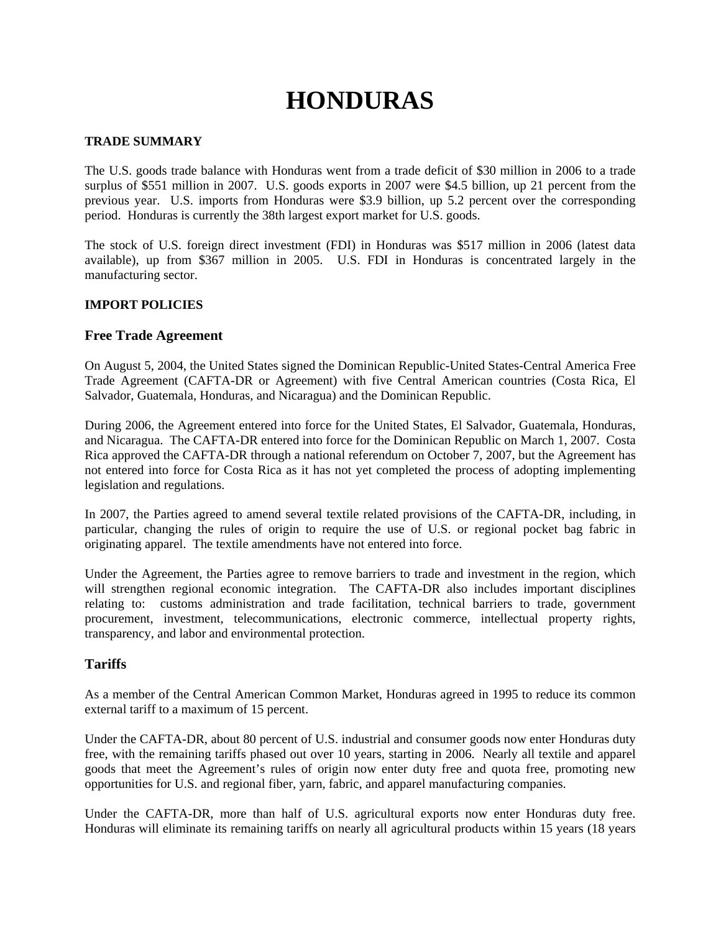# **HONDURAS**

#### **TRADE SUMMARY**

The U.S. goods trade balance with Honduras went from a trade deficit of \$30 million in 2006 to a trade surplus of \$551 million in 2007. U.S. goods exports in 2007 were \$4.5 billion, up 21 percent from the previous year. U.S. imports from Honduras were \$3.9 billion, up 5.2 percent over the corresponding period. Honduras is currently the 38th largest export market for U.S. goods.

The stock of U.S. foreign direct investment (FDI) in Honduras was \$517 million in 2006 (latest data available), up from \$367 million in 2005. U.S. FDI in Honduras is concentrated largely in the manufacturing sector.

#### **IMPORT POLICIES**

#### **Free Trade Agreement**

On August 5, 2004, the United States signed the Dominican Republic-United States-Central America Free Trade Agreement (CAFTA-DR or Agreement) with five Central American countries (Costa Rica, El Salvador, Guatemala, Honduras, and Nicaragua) and the Dominican Republic.

During 2006, the Agreement entered into force for the United States, El Salvador, Guatemala, Honduras, and Nicaragua. The CAFTA-DR entered into force for the Dominican Republic on March 1, 2007. Costa Rica approved the CAFTA-DR through a national referendum on October 7, 2007, but the Agreement has not entered into force for Costa Rica as it has not yet completed the process of adopting implementing legislation and regulations.

In 2007, the Parties agreed to amend several textile related provisions of the CAFTA-DR, including, in particular, changing the rules of origin to require the use of U.S. or regional pocket bag fabric in originating apparel. The textile amendments have not entered into force.

Under the Agreement, the Parties agree to remove barriers to trade and investment in the region, which will strengthen regional economic integration. The CAFTA-DR also includes important disciplines relating to: customs administration and trade facilitation, technical barriers to trade, government procurement, investment, telecommunications, electronic commerce, intellectual property rights, transparency, and labor and environmental protection.

#### **Tariffs**

As a member of the Central American Common Market, Honduras agreed in 1995 to reduce its common external tariff to a maximum of 15 percent.

Under the CAFTA-DR, about 80 percent of U.S. industrial and consumer goods now enter Honduras duty free, with the remaining tariffs phased out over 10 years, starting in 2006. Nearly all textile and apparel goods that meet the Agreement's rules of origin now enter duty free and quota free, promoting new opportunities for U.S. and regional fiber, yarn, fabric, and apparel manufacturing companies.

Under the CAFTA-DR, more than half of U.S. agricultural exports now enter Honduras duty free. Honduras will eliminate its remaining tariffs on nearly all agricultural products within 15 years (18 years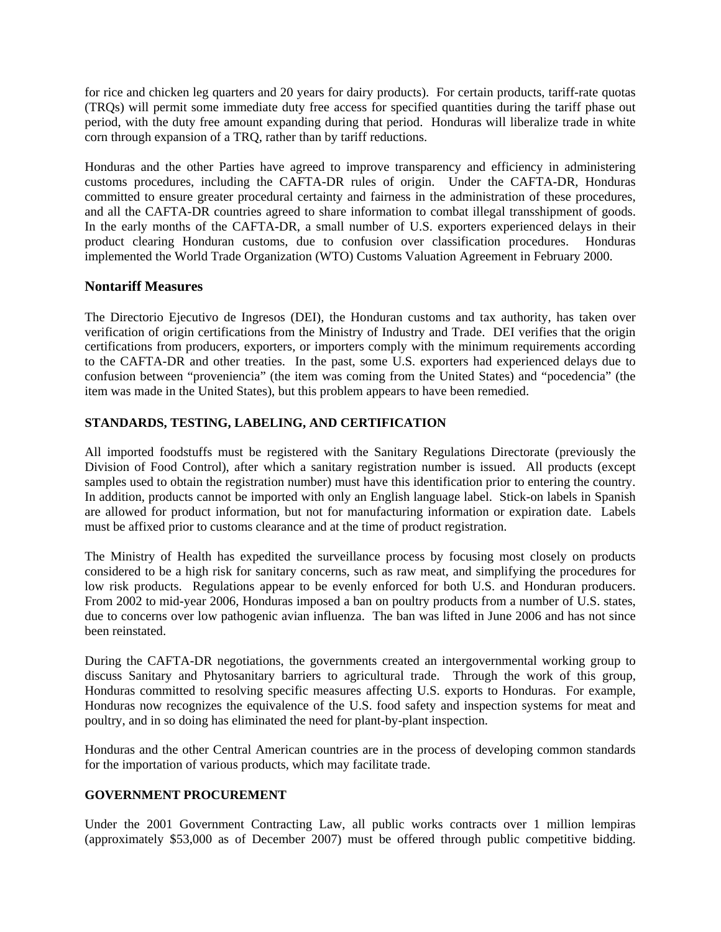for rice and chicken leg quarters and 20 years for dairy products). For certain products, tariff-rate quotas (TRQs) will permit some immediate duty free access for specified quantities during the tariff phase out period, with the duty free amount expanding during that period. Honduras will liberalize trade in white corn through expansion of a TRQ, rather than by tariff reductions.

Honduras and the other Parties have agreed to improve transparency and efficiency in administering customs procedures, including the CAFTA-DR rules of origin. Under the CAFTA-DR, Honduras committed to ensure greater procedural certainty and fairness in the administration of these procedures, and all the CAFTA-DR countries agreed to share information to combat illegal transshipment of goods. In the early months of the CAFTA-DR, a small number of U.S. exporters experienced delays in their product clearing Honduran customs, due to confusion over classification procedures. Honduras implemented the World Trade Organization (WTO) Customs Valuation Agreement in February 2000.

## **Nontariff Measures**

The Directorio Ejecutivo de Ingresos (DEI), the Honduran customs and tax authority, has taken over verification of origin certifications from the Ministry of Industry and Trade. DEI verifies that the origin certifications from producers, exporters, or importers comply with the minimum requirements according to the CAFTA-DR and other treaties. In the past, some U.S. exporters had experienced delays due to confusion between "proveniencia" (the item was coming from the United States) and "pocedencia" (the item was made in the United States), but this problem appears to have been remedied.

#### **STANDARDS, TESTING, LABELING, AND CERTIFICATION**

All imported foodstuffs must be registered with the Sanitary Regulations Directorate (previously the Division of Food Control), after which a sanitary registration number is issued. All products (except samples used to obtain the registration number) must have this identification prior to entering the country. In addition, products cannot be imported with only an English language label. Stick-on labels in Spanish are allowed for product information, but not for manufacturing information or expiration date. Labels must be affixed prior to customs clearance and at the time of product registration.

The Ministry of Health has expedited the surveillance process by focusing most closely on products considered to be a high risk for sanitary concerns, such as raw meat, and simplifying the procedures for low risk products. Regulations appear to be evenly enforced for both U.S. and Honduran producers. From 2002 to mid-year 2006, Honduras imposed a ban on poultry products from a number of U.S. states, due to concerns over low pathogenic avian influenza. The ban was lifted in June 2006 and has not since been reinstated.

During the CAFTA-DR negotiations, the governments created an intergovernmental working group to discuss Sanitary and Phytosanitary barriers to agricultural trade. Through the work of this group, Honduras committed to resolving specific measures affecting U.S. exports to Honduras. For example, Honduras now recognizes the equivalence of the U.S. food safety and inspection systems for meat and poultry, and in so doing has eliminated the need for plant-by-plant inspection.

Honduras and the other Central American countries are in the process of developing common standards for the importation of various products, which may facilitate trade.

## **GOVERNMENT PROCUREMENT**

Under the 2001 Government Contracting Law, all public works contracts over 1 million lempiras (approximately \$53,000 as of December 2007) must be offered through public competitive bidding.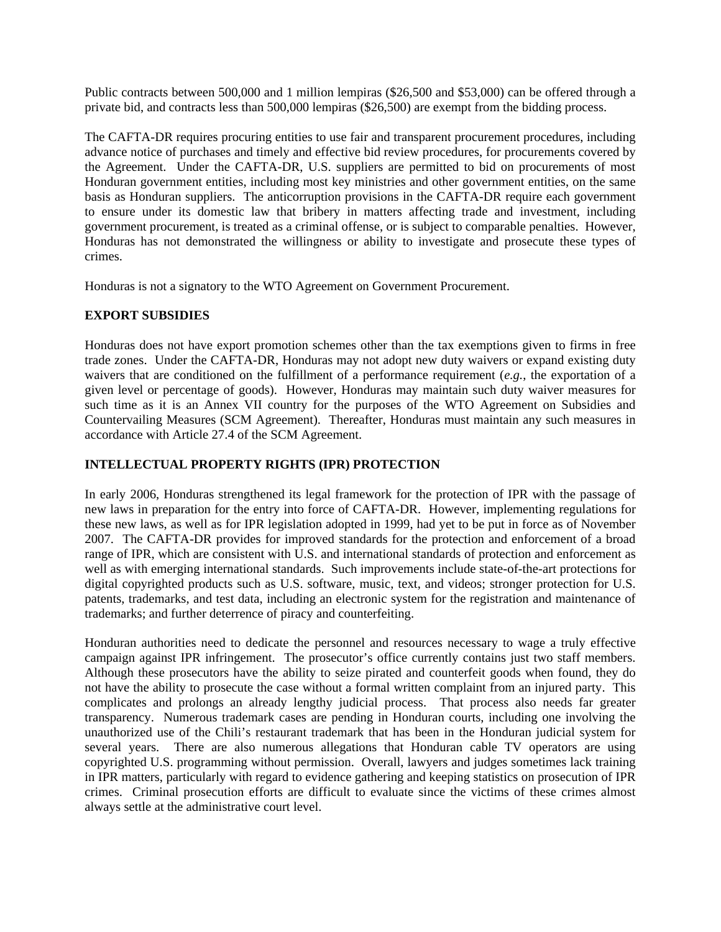Public contracts between 500,000 and 1 million lempiras (\$26,500 and \$53,000) can be offered through a private bid, and contracts less than 500,000 lempiras (\$26,500) are exempt from the bidding process.

The CAFTA-DR requires procuring entities to use fair and transparent procurement procedures, including advance notice of purchases and timely and effective bid review procedures, for procurements covered by the Agreement. Under the CAFTA-DR, U.S. suppliers are permitted to bid on procurements of most Honduran government entities, including most key ministries and other government entities, on the same basis as Honduran suppliers. The anticorruption provisions in the CAFTA-DR require each government to ensure under its domestic law that bribery in matters affecting trade and investment, including government procurement, is treated as a criminal offense, or is subject to comparable penalties. However, Honduras has not demonstrated the willingness or ability to investigate and prosecute these types of crimes.

Honduras is not a signatory to the WTO Agreement on Government Procurement.

#### **EXPORT SUBSIDIES**

Honduras does not have export promotion schemes other than the tax exemptions given to firms in free trade zones. Under the CAFTA-DR, Honduras may not adopt new duty waivers or expand existing duty waivers that are conditioned on the fulfillment of a performance requirement (*e.g.*, the exportation of a given level or percentage of goods). However, Honduras may maintain such duty waiver measures for such time as it is an Annex VII country for the purposes of the WTO Agreement on Subsidies and Countervailing Measures (SCM Agreement). Thereafter, Honduras must maintain any such measures in accordance with Article 27.4 of the SCM Agreement.

#### **INTELLECTUAL PROPERTY RIGHTS (IPR) PROTECTION**

In early 2006, Honduras strengthened its legal framework for the protection of IPR with the passage of new laws in preparation for the entry into force of CAFTA-DR. However, implementing regulations for these new laws, as well as for IPR legislation adopted in 1999, had yet to be put in force as of November 2007. The CAFTA-DR provides for improved standards for the protection and enforcement of a broad range of IPR, which are consistent with U.S. and international standards of protection and enforcement as well as with emerging international standards. Such improvements include state-of-the-art protections for digital copyrighted products such as U.S. software, music, text, and videos; stronger protection for U.S. patents, trademarks, and test data, including an electronic system for the registration and maintenance of trademarks; and further deterrence of piracy and counterfeiting.

Honduran authorities need to dedicate the personnel and resources necessary to wage a truly effective campaign against IPR infringement. The prosecutor's office currently contains just two staff members. Although these prosecutors have the ability to seize pirated and counterfeit goods when found, they do not have the ability to prosecute the case without a formal written complaint from an injured party. This complicates and prolongs an already lengthy judicial process. That process also needs far greater transparency. Numerous trademark cases are pending in Honduran courts, including one involving the unauthorized use of the Chili's restaurant trademark that has been in the Honduran judicial system for several years. There are also numerous allegations that Honduran cable TV operators are using copyrighted U.S. programming without permission. Overall, lawyers and judges sometimes lack training in IPR matters, particularly with regard to evidence gathering and keeping statistics on prosecution of IPR crimes. Criminal prosecution efforts are difficult to evaluate since the victims of these crimes almost always settle at the administrative court level.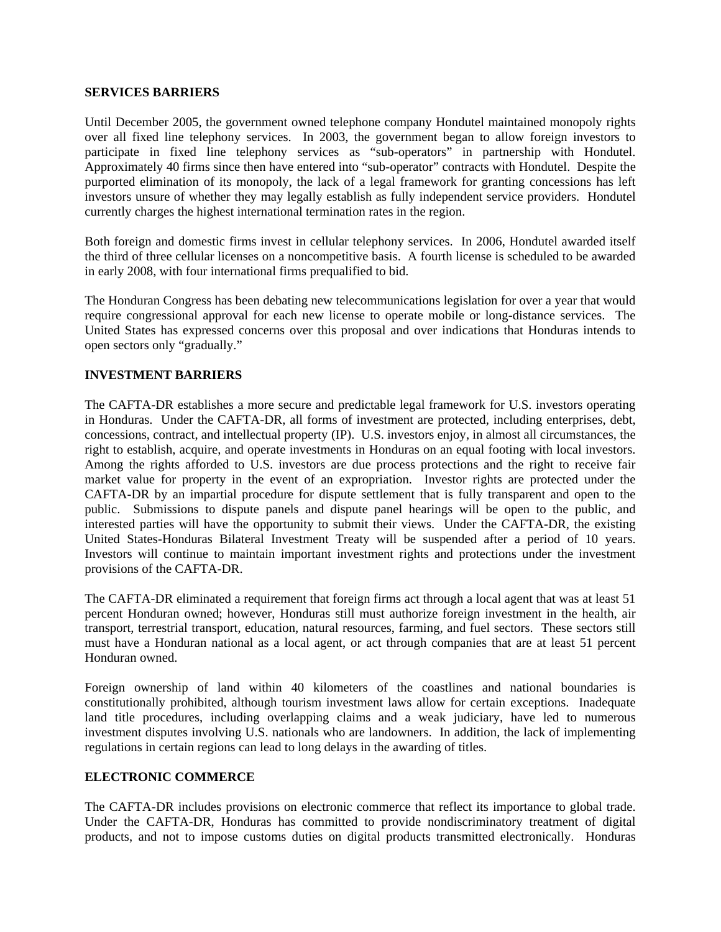#### **SERVICES BARRIERS**

Until December 2005, the government owned telephone company Hondutel maintained monopoly rights over all fixed line telephony services. In 2003, the government began to allow foreign investors to participate in fixed line telephony services as "sub-operators" in partnership with Hondutel. Approximately 40 firms since then have entered into "sub-operator" contracts with Hondutel. Despite the purported elimination of its monopoly, the lack of a legal framework for granting concessions has left investors unsure of whether they may legally establish as fully independent service providers. Hondutel currently charges the highest international termination rates in the region.

Both foreign and domestic firms invest in cellular telephony services. In 2006, Hondutel awarded itself the third of three cellular licenses on a noncompetitive basis. A fourth license is scheduled to be awarded in early 2008, with four international firms prequalified to bid.

The Honduran Congress has been debating new telecommunications legislation for over a year that would require congressional approval for each new license to operate mobile or long-distance services. The United States has expressed concerns over this proposal and over indications that Honduras intends to open sectors only "gradually."

#### **INVESTMENT BARRIERS**

The CAFTA-DR establishes a more secure and predictable legal framework for U.S. investors operating in Honduras. Under the CAFTA-DR, all forms of investment are protected, including enterprises, debt, concessions, contract, and intellectual property (IP). U.S. investors enjoy, in almost all circumstances, the right to establish, acquire, and operate investments in Honduras on an equal footing with local investors. Among the rights afforded to U.S. investors are due process protections and the right to receive fair market value for property in the event of an expropriation. Investor rights are protected under the CAFTA-DR by an impartial procedure for dispute settlement that is fully transparent and open to the public. Submissions to dispute panels and dispute panel hearings will be open to the public, and interested parties will have the opportunity to submit their views. Under the CAFTA-DR, the existing United States-Honduras Bilateral Investment Treaty will be suspended after a period of 10 years. Investors will continue to maintain important investment rights and protections under the investment provisions of the CAFTA-DR.

The CAFTA-DR eliminated a requirement that foreign firms act through a local agent that was at least 51 percent Honduran owned; however, Honduras still must authorize foreign investment in the health, air transport, terrestrial transport, education, natural resources, farming, and fuel sectors. These sectors still must have a Honduran national as a local agent, or act through companies that are at least 51 percent Honduran owned.

Foreign ownership of land within 40 kilometers of the coastlines and national boundaries is constitutionally prohibited, although tourism investment laws allow for certain exceptions. Inadequate land title procedures, including overlapping claims and a weak judiciary, have led to numerous investment disputes involving U.S. nationals who are landowners. In addition, the lack of implementing regulations in certain regions can lead to long delays in the awarding of titles.

#### **ELECTRONIC COMMERCE**

The CAFTA-DR includes provisions on electronic commerce that reflect its importance to global trade. Under the CAFTA-DR, Honduras has committed to provide nondiscriminatory treatment of digital products, and not to impose customs duties on digital products transmitted electronically. Honduras